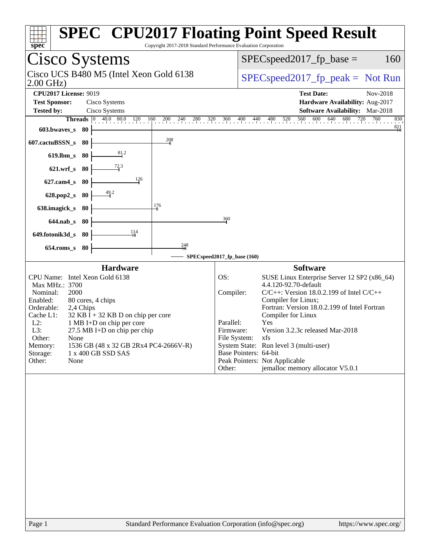| Copyright 2017-2018 Standard Performance Evaluation Corporation<br>spec                                                                                                                                                                                                                                                                                                                       | <b>SPEC<sup>®</sup> CPU2017 Floating Point Speed Result</b>                                                                                                                                                                                                                                                                                                                                                                                                                        |
|-----------------------------------------------------------------------------------------------------------------------------------------------------------------------------------------------------------------------------------------------------------------------------------------------------------------------------------------------------------------------------------------------|------------------------------------------------------------------------------------------------------------------------------------------------------------------------------------------------------------------------------------------------------------------------------------------------------------------------------------------------------------------------------------------------------------------------------------------------------------------------------------|
| Cisco Systems                                                                                                                                                                                                                                                                                                                                                                                 | $SPEC speed2017fp base =$<br>160                                                                                                                                                                                                                                                                                                                                                                                                                                                   |
| Cisco UCS B480 M5 (Intel Xeon Gold 6138<br>$2.00$ GHz)                                                                                                                                                                                                                                                                                                                                        | $SPEC speed2017fr peak = Not Run$                                                                                                                                                                                                                                                                                                                                                                                                                                                  |
| <b>CPU2017 License: 9019</b>                                                                                                                                                                                                                                                                                                                                                                  | <b>Test Date:</b><br>Nov-2018                                                                                                                                                                                                                                                                                                                                                                                                                                                      |
| <b>Test Sponsor:</b><br>Cisco Systems                                                                                                                                                                                                                                                                                                                                                         | Hardware Availability: Aug-2017                                                                                                                                                                                                                                                                                                                                                                                                                                                    |
| <b>Tested by:</b><br>Cisco Systems                                                                                                                                                                                                                                                                                                                                                            | Software Availability: Mar-2018                                                                                                                                                                                                                                                                                                                                                                                                                                                    |
| $40.0$ $80.0$ $120$ 1<br>160<br>$0 \t 200 \t 240$<br>280<br>320<br><b>Threads</b><br>$\overline{0}$<br>603.bwaves_s<br>- 80                                                                                                                                                                                                                                                                   | $\frac{560}{1}$<br>600 640 680 720 760<br>360<br>400<br>$^{440}$ .<br>480<br>520<br>830<br>$\frac{821}{ }$                                                                                                                                                                                                                                                                                                                                                                         |
| 208<br>607.cactuBSSN_s<br>-80                                                                                                                                                                                                                                                                                                                                                                 |                                                                                                                                                                                                                                                                                                                                                                                                                                                                                    |
| 81.2<br>$619$ .lbm_s<br>80                                                                                                                                                                                                                                                                                                                                                                    |                                                                                                                                                                                                                                                                                                                                                                                                                                                                                    |
| $\frac{72.3}{ }$<br>$621.wrf$ <sub>S</sub><br>80                                                                                                                                                                                                                                                                                                                                              |                                                                                                                                                                                                                                                                                                                                                                                                                                                                                    |
| 126<br>$627$ .cam $4_s$<br>80                                                                                                                                                                                                                                                                                                                                                                 |                                                                                                                                                                                                                                                                                                                                                                                                                                                                                    |
| 49.2<br>628.pop2_s<br>80                                                                                                                                                                                                                                                                                                                                                                      |                                                                                                                                                                                                                                                                                                                                                                                                                                                                                    |
| 176<br>638.imagick_s<br>-80                                                                                                                                                                                                                                                                                                                                                                   |                                                                                                                                                                                                                                                                                                                                                                                                                                                                                    |
| $644$ .nab_s<br>-80                                                                                                                                                                                                                                                                                                                                                                           | 360                                                                                                                                                                                                                                                                                                                                                                                                                                                                                |
| 1,14<br>649.fotonik3d_s<br>80                                                                                                                                                                                                                                                                                                                                                                 |                                                                                                                                                                                                                                                                                                                                                                                                                                                                                    |
| 248<br>$654$ .roms_s<br>80                                                                                                                                                                                                                                                                                                                                                                    | SPECspeed2017_fp_base (160)                                                                                                                                                                                                                                                                                                                                                                                                                                                        |
| <b>Hardware</b>                                                                                                                                                                                                                                                                                                                                                                               | <b>Software</b>                                                                                                                                                                                                                                                                                                                                                                                                                                                                    |
| CPU Name: Intel Xeon Gold 6138<br>Max MHz.: 3700<br>Nominal:<br>2000<br>Enabled:<br>80 cores, 4 chips<br>Orderable:<br>2,4 Chips<br>Cache L1:<br>$32$ KB I + 32 KB D on chip per core<br>$L2$ :<br>1 MB I+D on chip per core<br>L3:<br>27.5 MB I+D on chip per chip<br>Other:<br>None<br>1536 GB (48 x 32 GB 2Rx4 PC4-2666V-R)<br>Memory:<br>Storage:<br>1 x 400 GB SSD SAS<br>Other:<br>None | OS:<br>SUSE Linux Enterprise Server 12 SP2 (x86_64)<br>4.4.120-92.70-default<br>Compiler:<br>$C/C++$ : Version 18.0.2.199 of Intel $C/C++$<br>Compiler for Linux;<br>Fortran: Version 18.0.2.199 of Intel Fortran<br>Compiler for Linux<br>Yes<br>Parallel:<br>Version 3.2.3c released Mar-2018<br>Firmware:<br>File System: xfs<br>System State: Run level 3 (multi-user)<br>Base Pointers: 64-bit<br>Peak Pointers: Not Applicable<br>jemalloc memory allocator V5.0.1<br>Other: |
| Standard Darformange Evaluation Corneration (info@enee.org)<br>$D_{\alpha\alpha\alpha}$ 1                                                                                                                                                                                                                                                                                                     | http://www.00000"                                                                                                                                                                                                                                                                                                                                                                                                                                                                  |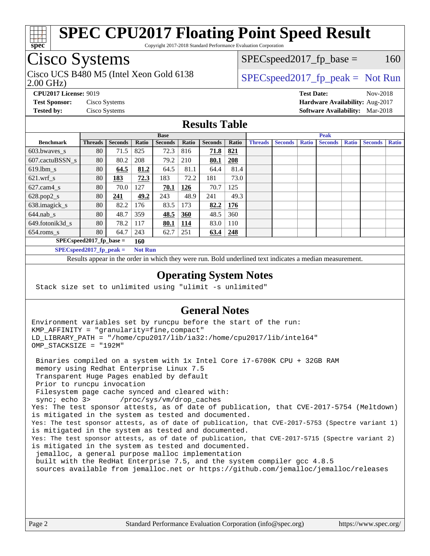

Copyright 2017-2018 Standard Performance Evaluation Corporation

# Cisco Systems

2.00 GHz) Cisco UCS B480 M5 (Intel Xeon Gold 6138  $\vert$  [SPECspeed2017\\_fp\\_peak =](http://www.spec.org/auto/cpu2017/Docs/result-fields.html#SPECspeed2017fppeak) Not Run

 $SPEC speed2017_fp\_base = 160$ 

**[CPU2017 License:](http://www.spec.org/auto/cpu2017/Docs/result-fields.html#CPU2017License)** 9019 **[Test Date:](http://www.spec.org/auto/cpu2017/Docs/result-fields.html#TestDate)** Nov-2018 **[Test Sponsor:](http://www.spec.org/auto/cpu2017/Docs/result-fields.html#TestSponsor)** Cisco Systems **[Hardware Availability:](http://www.spec.org/auto/cpu2017/Docs/result-fields.html#HardwareAvailability)** Aug-2017 **[Tested by:](http://www.spec.org/auto/cpu2017/Docs/result-fields.html#Testedby)** Cisco Systems **[Software Availability:](http://www.spec.org/auto/cpu2017/Docs/result-fields.html#SoftwareAvailability)** Mar-2018

## **[Results Table](http://www.spec.org/auto/cpu2017/Docs/result-fields.html#ResultsTable)**

|                                              | <b>Base</b>    |                |       |                |            | <b>Peak</b>    |            |                |                |              |                |              |                |              |
|----------------------------------------------|----------------|----------------|-------|----------------|------------|----------------|------------|----------------|----------------|--------------|----------------|--------------|----------------|--------------|
| <b>Benchmark</b>                             | <b>Threads</b> | <b>Seconds</b> | Ratio | <b>Seconds</b> | Ratio      | <b>Seconds</b> | Ratio      | <b>Threads</b> | <b>Seconds</b> | <b>Ratio</b> | <b>Seconds</b> | <b>Ratio</b> | <b>Seconds</b> | <b>Ratio</b> |
| 603.bwayes s                                 | 80             | 71.5           | 825   | 72.3           | 816        | 71.8           | 821        |                |                |              |                |              |                |              |
| 607.cactuBSSN s                              | 80             | 80.2           | 208   | 79.2           | 210        | 80.1           | 208        |                |                |              |                |              |                |              |
| $619.$ lbm s                                 | 80             | 64.5           | 81.2  | 64.5           | 81.1       | 64.4           | 81.4       |                |                |              |                |              |                |              |
| $621.wrf$ s                                  | 80             | 183            | 72.3  | 183            | 72.2       | 181            | 73.0       |                |                |              |                |              |                |              |
| $627$ .cam $4$ <sub>s</sub>                  | 80             | 70.0           | 127   | 70.1           | 126        | 70.7           | 125        |                |                |              |                |              |                |              |
| $628.pop2_s$                                 | 80             | 241            | 49.2  | 243            | 48.9       | 241            | 49.3       |                |                |              |                |              |                |              |
| 638.imagick_s                                | 80             | 82.2           | 176   | 83.5           | 173        | 82.2           | 176        |                |                |              |                |              |                |              |
| $644$ .nab s                                 | 80             | 48.7           | 359   | 48.5           | 360        | 48.5           | 360        |                |                |              |                |              |                |              |
| 649.fotonik3d s                              | 80             | 78.2           | 117   | 80.1           | <u>114</u> | 83.0           | 110        |                |                |              |                |              |                |              |
| $654$ .roms s                                | 80             | 64.7           | 243   | 62.7           | 251        | 63.4           | <u>248</u> |                |                |              |                |              |                |              |
| $SPEC speed2017$ fp base =<br>160            |                |                |       |                |            |                |            |                |                |              |                |              |                |              |
| $SPECspeed2017_fp\_peak =$<br><b>Not Run</b> |                |                |       |                |            |                |            |                |                |              |                |              |                |              |

Results appear in the [order in which they were run.](http://www.spec.org/auto/cpu2017/Docs/result-fields.html#RunOrder) Bold underlined text [indicates a median measurement](http://www.spec.org/auto/cpu2017/Docs/result-fields.html#Median).

## **[Operating System Notes](http://www.spec.org/auto/cpu2017/Docs/result-fields.html#OperatingSystemNotes)**

Stack size set to unlimited using "ulimit -s unlimited"

## **[General Notes](http://www.spec.org/auto/cpu2017/Docs/result-fields.html#GeneralNotes)**

Environment variables set by runcpu before the start of the run: KMP\_AFFINITY = "granularity=fine,compact" LD\_LIBRARY\_PATH = "/home/cpu2017/lib/ia32:/home/cpu2017/lib/intel64" OMP\_STACKSIZE = "192M"

 Binaries compiled on a system with 1x Intel Core i7-6700K CPU + 32GB RAM memory using Redhat Enterprise Linux 7.5 Transparent Huge Pages enabled by default Prior to runcpu invocation Filesystem page cache synced and cleared with: sync; echo 3> /proc/sys/vm/drop\_caches Yes: The test sponsor attests, as of date of publication, that CVE-2017-5754 (Meltdown) is mitigated in the system as tested and documented. Yes: The test sponsor attests, as of date of publication, that CVE-2017-5753 (Spectre variant 1) is mitigated in the system as tested and documented. Yes: The test sponsor attests, as of date of publication, that CVE-2017-5715 (Spectre variant 2) is mitigated in the system as tested and documented. jemalloc, a general purpose malloc implementation built with the RedHat Enterprise 7.5, and the system compiler gcc 4.8.5 sources available from jemalloc.net or<https://github.com/jemalloc/jemalloc/releases>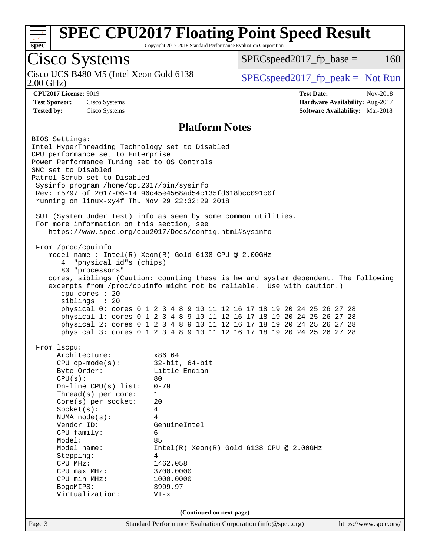

Copyright 2017-2018 Standard Performance Evaluation Corporation

## Cisco Systems

Cisco UCS B480 M5 (Intel Xeon Gold 6138<br>2.00 GHz)

 $SPEC speed2017<sub>fp</sub> base =  $160$$ 

 $SPEC speed2017_fp\_peak = Not Run$ 

**[Tested by:](http://www.spec.org/auto/cpu2017/Docs/result-fields.html#Testedby)** Cisco Systems **[Software Availability:](http://www.spec.org/auto/cpu2017/Docs/result-fields.html#SoftwareAvailability)** Mar-2018

**[CPU2017 License:](http://www.spec.org/auto/cpu2017/Docs/result-fields.html#CPU2017License)** 9019 **[Test Date:](http://www.spec.org/auto/cpu2017/Docs/result-fields.html#TestDate)** Nov-2018 **[Test Sponsor:](http://www.spec.org/auto/cpu2017/Docs/result-fields.html#TestSponsor)** Cisco Systems **[Hardware Availability:](http://www.spec.org/auto/cpu2017/Docs/result-fields.html#HardwareAvailability)** Aug-2017

## **[Platform Notes](http://www.spec.org/auto/cpu2017/Docs/result-fields.html#PlatformNotes)**

Page 3 Standard Performance Evaluation Corporation [\(info@spec.org\)](mailto:info@spec.org) <https://www.spec.org/> BIOS Settings: Intel HyperThreading Technology set to Disabled CPU performance set to Enterprise Power Performance Tuning set to OS Controls SNC set to Disabled Patrol Scrub set to Disabled Sysinfo program /home/cpu2017/bin/sysinfo Rev: r5797 of 2017-06-14 96c45e4568ad54c135fd618bcc091c0f running on linux-xy4f Thu Nov 29 22:32:29 2018 SUT (System Under Test) info as seen by some common utilities. For more information on this section, see <https://www.spec.org/cpu2017/Docs/config.html#sysinfo> From /proc/cpuinfo model name : Intel(R) Xeon(R) Gold 6138 CPU @ 2.00GHz 4 "physical id"s (chips) 80 "processors" cores, siblings (Caution: counting these is hw and system dependent. The following excerpts from /proc/cpuinfo might not be reliable. Use with caution.) cpu cores : 20 siblings : 20 physical 0: cores 0 1 2 3 4 8 9 10 11 12 16 17 18 19 20 24 25 26 27 28 physical 1: cores 0 1 2 3 4 8 9 10 11 12 16 17 18 19 20 24 25 26 27 28 physical 2: cores 0 1 2 3 4 8 9 10 11 12 16 17 18 19 20 24 25 26 27 28 physical 3: cores 0 1 2 3 4 8 9 10 11 12 16 17 18 19 20 24 25 26 27 28 From lscpu: Architecture: x86\_64 CPU op-mode(s): 32-bit, 64-bit Byte Order: Little Endian  $CPU(s):$  80 On-line CPU(s) list: 0-79 Thread(s) per core: 1 Core(s) per socket: 20 Socket(s): 4 NUMA node(s): 4 Vendor ID: GenuineIntel CPU family: 6 Model: 85 Model name: Intel(R) Xeon(R) Gold 6138 CPU @ 2.00GHz Stepping: 4 CPU MHz: 1462.058 CPU max MHz: 3700.0000 CPU min MHz: 1000.0000 BogoMIPS: 3999.97 Virtualization: VT-x **(Continued on next page)**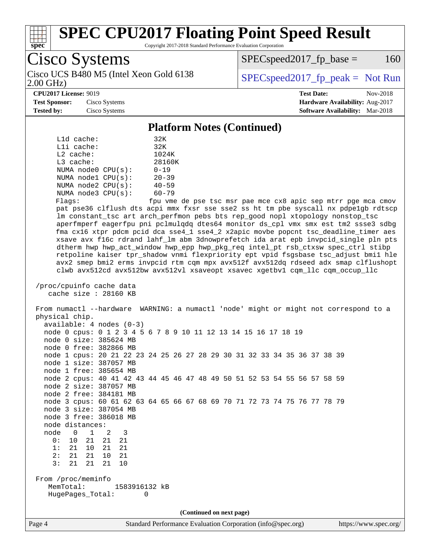

Copyright 2017-2018 Standard Performance Evaluation Corporation

Cisco Systems 2.00 GHz) Cisco UCS B480 M5 (Intel Xeon Gold 6138  $\vert$  [SPECspeed2017\\_fp\\_peak =](http://www.spec.org/auto/cpu2017/Docs/result-fields.html#SPECspeed2017fppeak) Not Run

 $SPEC speed2017<sub>fp</sub> base =  $160$$ 

**[CPU2017 License:](http://www.spec.org/auto/cpu2017/Docs/result-fields.html#CPU2017License)** 9019 **[Test Date:](http://www.spec.org/auto/cpu2017/Docs/result-fields.html#TestDate)** Nov-2018 **[Test Sponsor:](http://www.spec.org/auto/cpu2017/Docs/result-fields.html#TestSponsor)** Cisco Systems **[Hardware Availability:](http://www.spec.org/auto/cpu2017/Docs/result-fields.html#HardwareAvailability)** Aug-2017 **[Tested by:](http://www.spec.org/auto/cpu2017/Docs/result-fields.html#Testedby)** Cisco Systems **[Software Availability:](http://www.spec.org/auto/cpu2017/Docs/result-fields.html#SoftwareAvailability)** Mar-2018

### **[Platform Notes \(Continued\)](http://www.spec.org/auto/cpu2017/Docs/result-fields.html#PlatformNotes)**

| $L1d$ cache:            | 32K       |
|-------------------------|-----------|
| $L1i$ cache:            | 32K       |
| $L2$ cache:             | 1024K     |
| $L3$ cache:             | 28160K    |
| NUMA node0 CPU(s):      | $0 - 19$  |
| NUMA nodel CPU(s):      | $20 - 39$ |
| NUMA $node2$ $CPU(s)$ : | $40 - 59$ |
| NUMA node3 CPU(s):      | $60 - 79$ |
|                         |           |

Flags: fpu vme de pse tsc msr pae mce cx8 apic sep mtrr pge mca cmov pat pse36 clflush dts acpi mmx fxsr sse sse2 ss ht tm pbe syscall nx pdpe1gb rdtscp lm constant\_tsc art arch\_perfmon pebs bts rep\_good nopl xtopology nonstop\_tsc aperfmperf eagerfpu pni pclmulqdq dtes64 monitor ds\_cpl vmx smx est tm2 ssse3 sdbg fma cx16 xtpr pdcm pcid dca sse4\_1 sse4\_2 x2apic movbe popcnt tsc\_deadline\_timer aes xsave avx f16c rdrand lahf\_lm abm 3dnowprefetch ida arat epb invpcid\_single pln pts dtherm hwp hwp\_act\_window hwp\_epp hwp\_pkg\_req intel\_pt rsb\_ctxsw spec\_ctrl stibp retpoline kaiser tpr\_shadow vnmi flexpriority ept vpid fsgsbase tsc\_adjust bmi1 hle avx2 smep bmi2 erms invpcid rtm cqm mpx avx512f avx512dq rdseed adx smap clflushopt clwb avx512cd avx512bw avx512vl xsaveopt xsavec xgetbv1 cqm\_llc cqm\_occup\_llc

 /proc/cpuinfo cache data cache size : 28160 KB

 From numactl --hardware WARNING: a numactl 'node' might or might not correspond to a physical chip. available: 4 nodes (0-3) node 0 cpus: 0 1 2 3 4 5 6 7 8 9 10 11 12 13 14 15 16 17 18 19 node 0 size: 385624 MB node 0 free: 382866 MB node 1 cpus: 20 21 22 23 24 25 26 27 28 29 30 31 32 33 34 35 36 37 38 39 node 1 size: 387057 MB node 1 free: 385654 MB node 2 cpus: 40 41 42 43 44 45 46 47 48 49 50 51 52 53 54 55 56 57 58 59 node 2 size: 387057 MB node 2 free: 384181 MB

 node 3 cpus: 60 61 62 63 64 65 66 67 68 69 70 71 72 73 74 75 76 77 78 79 node 3 size: 387054 MB

 node 3 free: 386018 MB node distances: node 0 1 2 3<br>0: 10 21 21 21

3: 21 21 21 10

 0: 10 21 21 21 1: 21 10 21 21 2: 21 21 10 21

 From /proc/meminfo MemTotal: 1583916132 kB HugePages\_Total: 0

**(Continued on next page)**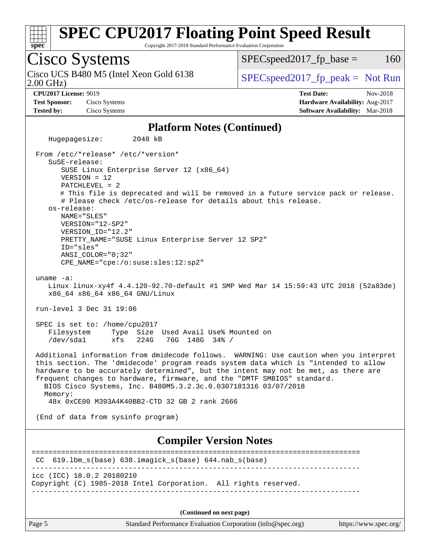

Copyright 2017-2018 Standard Performance Evaluation Corporation

Cisco Systems 2.00 GHz) Cisco UCS B480 M5 (Intel Xeon Gold 6138  $\vert$  [SPECspeed2017\\_fp\\_peak =](http://www.spec.org/auto/cpu2017/Docs/result-fields.html#SPECspeed2017fppeak) Not Run  $SPEC speed2017<sub>fp</sub> base =  $160$$ **[CPU2017 License:](http://www.spec.org/auto/cpu2017/Docs/result-fields.html#CPU2017License)** 9019 **[Test Date:](http://www.spec.org/auto/cpu2017/Docs/result-fields.html#TestDate)** Nov-2018 **[Test Sponsor:](http://www.spec.org/auto/cpu2017/Docs/result-fields.html#TestSponsor)** Cisco Systems **[Hardware Availability:](http://www.spec.org/auto/cpu2017/Docs/result-fields.html#HardwareAvailability)** Aug-2017 **[Tested by:](http://www.spec.org/auto/cpu2017/Docs/result-fields.html#Testedby)** Cisco Systems **[Software Availability:](http://www.spec.org/auto/cpu2017/Docs/result-fields.html#SoftwareAvailability)** Mar-2018 **[Platform Notes \(Continued\)](http://www.spec.org/auto/cpu2017/Docs/result-fields.html#PlatformNotes)** Hugepagesize: 2048 kB From /etc/\*release\* /etc/\*version\* SuSE-release: SUSE Linux Enterprise Server 12 (x86\_64) VERSION = 12 PATCHLEVEL = 2 # This file is deprecated and will be removed in a future service pack or release. # Please check /etc/os-release for details about this release. os-release: NAME="SLES" VERSION="12-SP2" VERSION\_ID="12.2" PRETTY\_NAME="SUSE Linux Enterprise Server 12 SP2" ID="sles" ANSI\_COLOR="0;32" CPE\_NAME="cpe:/o:suse:sles:12:sp2" uname -a: Linux linux-xy4f 4.4.120-92.70-default #1 SMP Wed Mar 14 15:59:43 UTC 2018 (52a83de) x86\_64 x86\_64 x86\_64 GNU/Linux run-level 3 Dec 31 19:06 SPEC is set to: /home/cpu2017 Filesystem Type Size Used Avail Use% Mounted on /dev/sda1 xfs 224G 76G 148G 34% / Additional information from dmidecode follows. WARNING: Use caution when you interpret this section. The 'dmidecode' program reads system data which is "intended to allow hardware to be accurately determined", but the intent may not be met, as there are frequent changes to hardware, firmware, and the "DMTF SMBIOS" standard. BIOS Cisco Systems, Inc. B480M5.3.2.3c.0.0307181316 03/07/2018 Memory: 48x 0xCE00 M393A4K40BB2-CTD 32 GB 2 rank 2666 (End of data from sysinfo program) **[Compiler Version Notes](http://www.spec.org/auto/cpu2017/Docs/result-fields.html#CompilerVersionNotes)** ============================================================================== CC 619.lbm\_s(base) 638.imagick\_s(base) 644.nab\_s(base) ----------------------------------------------------------------------------- icc (ICC) 18.0.2 20180210 Copyright (C) 1985-2018 Intel Corporation. All rights reserved. ------------------------------------------------------------------------------

**(Continued on next page)**

Page 5 Standard Performance Evaluation Corporation [\(info@spec.org\)](mailto:info@spec.org) <https://www.spec.org/>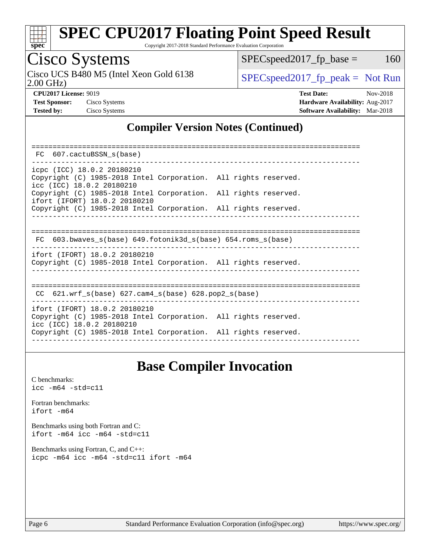

Copyright 2017-2018 Standard Performance Evaluation Corporation

## Cisco Systems

2.00 GHz) Cisco UCS B480 M5 (Intel Xeon Gold 6138  $\vert$  [SPECspeed2017\\_fp\\_peak =](http://www.spec.org/auto/cpu2017/Docs/result-fields.html#SPECspeed2017fppeak) Not Run

 $SPEC speed2017_fp\_base = 160$ 

**[CPU2017 License:](http://www.spec.org/auto/cpu2017/Docs/result-fields.html#CPU2017License)** 9019 **[Test Date:](http://www.spec.org/auto/cpu2017/Docs/result-fields.html#TestDate)** Nov-2018 **[Test Sponsor:](http://www.spec.org/auto/cpu2017/Docs/result-fields.html#TestSponsor)** Cisco Systems **[Hardware Availability:](http://www.spec.org/auto/cpu2017/Docs/result-fields.html#HardwareAvailability)** Aug-2017 **[Tested by:](http://www.spec.org/auto/cpu2017/Docs/result-fields.html#Testedby)** Cisco Systems **[Software Availability:](http://www.spec.org/auto/cpu2017/Docs/result-fields.html#SoftwareAvailability)** Mar-2018

## **[Compiler Version Notes \(Continued\)](http://www.spec.org/auto/cpu2017/Docs/result-fields.html#CompilerVersionNotes)**

| FC 607.cactuBSSN s(base)                                                                                                   |  |  |  |  |  |  |  |  |
|----------------------------------------------------------------------------------------------------------------------------|--|--|--|--|--|--|--|--|
|                                                                                                                            |  |  |  |  |  |  |  |  |
| icpc (ICC) 18.0.2 20180210<br>Copyright (C) 1985-2018 Intel Corporation. All rights reserved.<br>icc (ICC) 18.0.2 20180210 |  |  |  |  |  |  |  |  |
| Copyright (C) 1985-2018 Intel Corporation. All rights reserved.<br>ifort (IFORT) 18.0.2 20180210                           |  |  |  |  |  |  |  |  |
| Copyright (C) 1985-2018 Intel Corporation. All rights reserved.                                                            |  |  |  |  |  |  |  |  |
|                                                                                                                            |  |  |  |  |  |  |  |  |
| $FC 603.bwaves_s(base) 649.fotonik3d_s(base) 654.roms_s(base)$                                                             |  |  |  |  |  |  |  |  |
| ifort (IFORT) 18.0.2 20180210<br>Copyright (C) 1985-2018 Intel Corporation. All rights reserved.                           |  |  |  |  |  |  |  |  |
| CC $621.wrf$ s(base) $627.cam4$ s(base) $628.pop2$ s(base)                                                                 |  |  |  |  |  |  |  |  |
| ifort (IFORT) 18.0.2 20180210                                                                                              |  |  |  |  |  |  |  |  |
| Copyright (C) 1985-2018 Intel Corporation. All rights reserved.<br>icc (ICC) 18.0.2 20180210                               |  |  |  |  |  |  |  |  |
| Copyright (C) 1985-2018 Intel Corporation. All rights reserved.                                                            |  |  |  |  |  |  |  |  |

## **[Base Compiler Invocation](http://www.spec.org/auto/cpu2017/Docs/result-fields.html#BaseCompilerInvocation)**

[C benchmarks](http://www.spec.org/auto/cpu2017/Docs/result-fields.html#Cbenchmarks): [icc -m64 -std=c11](http://www.spec.org/cpu2017/results/res2018q4/cpu2017-20181211-10297.flags.html#user_CCbase_intel_icc_64bit_c11_33ee0cdaae7deeeab2a9725423ba97205ce30f63b9926c2519791662299b76a0318f32ddfffdc46587804de3178b4f9328c46fa7c2b0cd779d7a61945c91cd35)

[Fortran benchmarks](http://www.spec.org/auto/cpu2017/Docs/result-fields.html#Fortranbenchmarks): [ifort -m64](http://www.spec.org/cpu2017/results/res2018q4/cpu2017-20181211-10297.flags.html#user_FCbase_intel_ifort_64bit_24f2bb282fbaeffd6157abe4f878425411749daecae9a33200eee2bee2fe76f3b89351d69a8130dd5949958ce389cf37ff59a95e7a40d588e8d3a57e0c3fd751)

[Benchmarks using both Fortran and C](http://www.spec.org/auto/cpu2017/Docs/result-fields.html#BenchmarksusingbothFortranandC): [ifort -m64](http://www.spec.org/cpu2017/results/res2018q4/cpu2017-20181211-10297.flags.html#user_CC_FCbase_intel_ifort_64bit_24f2bb282fbaeffd6157abe4f878425411749daecae9a33200eee2bee2fe76f3b89351d69a8130dd5949958ce389cf37ff59a95e7a40d588e8d3a57e0c3fd751) [icc -m64 -std=c11](http://www.spec.org/cpu2017/results/res2018q4/cpu2017-20181211-10297.flags.html#user_CC_FCbase_intel_icc_64bit_c11_33ee0cdaae7deeeab2a9725423ba97205ce30f63b9926c2519791662299b76a0318f32ddfffdc46587804de3178b4f9328c46fa7c2b0cd779d7a61945c91cd35)

[Benchmarks using Fortran, C, and C++:](http://www.spec.org/auto/cpu2017/Docs/result-fields.html#BenchmarksusingFortranCandCXX) [icpc -m64](http://www.spec.org/cpu2017/results/res2018q4/cpu2017-20181211-10297.flags.html#user_CC_CXX_FCbase_intel_icpc_64bit_4ecb2543ae3f1412ef961e0650ca070fec7b7afdcd6ed48761b84423119d1bf6bdf5cad15b44d48e7256388bc77273b966e5eb805aefd121eb22e9299b2ec9d9) [icc -m64 -std=c11](http://www.spec.org/cpu2017/results/res2018q4/cpu2017-20181211-10297.flags.html#user_CC_CXX_FCbase_intel_icc_64bit_c11_33ee0cdaae7deeeab2a9725423ba97205ce30f63b9926c2519791662299b76a0318f32ddfffdc46587804de3178b4f9328c46fa7c2b0cd779d7a61945c91cd35) [ifort -m64](http://www.spec.org/cpu2017/results/res2018q4/cpu2017-20181211-10297.flags.html#user_CC_CXX_FCbase_intel_ifort_64bit_24f2bb282fbaeffd6157abe4f878425411749daecae9a33200eee2bee2fe76f3b89351d69a8130dd5949958ce389cf37ff59a95e7a40d588e8d3a57e0c3fd751)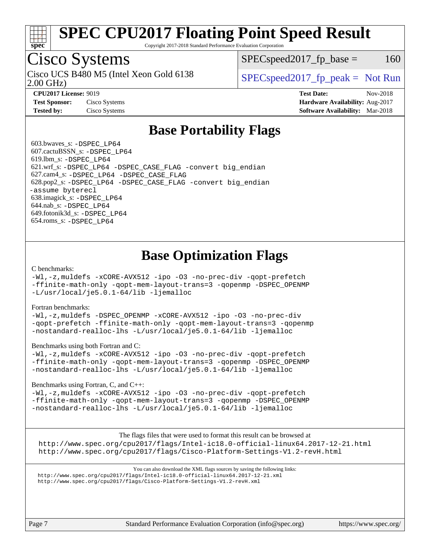

Copyright 2017-2018 Standard Performance Evaluation Corporation

## Cisco Systems

2.00 GHz) Cisco UCS B480 M5 (Intel Xeon Gold 6138  $\vert$  [SPECspeed2017\\_fp\\_peak =](http://www.spec.org/auto/cpu2017/Docs/result-fields.html#SPECspeed2017fppeak) Not Run

 $SPEC speed2017<sub>fp</sub> base =  $160$$ 

**[CPU2017 License:](http://www.spec.org/auto/cpu2017/Docs/result-fields.html#CPU2017License)** 9019 **[Test Date:](http://www.spec.org/auto/cpu2017/Docs/result-fields.html#TestDate)** Nov-2018 **[Test Sponsor:](http://www.spec.org/auto/cpu2017/Docs/result-fields.html#TestSponsor)** Cisco Systems **[Hardware Availability:](http://www.spec.org/auto/cpu2017/Docs/result-fields.html#HardwareAvailability)** Aug-2017 **[Tested by:](http://www.spec.org/auto/cpu2017/Docs/result-fields.html#Testedby)** Cisco Systems **[Software Availability:](http://www.spec.org/auto/cpu2017/Docs/result-fields.html#SoftwareAvailability)** Mar-2018

## **[Base Portability Flags](http://www.spec.org/auto/cpu2017/Docs/result-fields.html#BasePortabilityFlags)**

 603.bwaves\_s: [-DSPEC\\_LP64](http://www.spec.org/cpu2017/results/res2018q4/cpu2017-20181211-10297.flags.html#suite_basePORTABILITY603_bwaves_s_DSPEC_LP64) 607.cactuBSSN\_s: [-DSPEC\\_LP64](http://www.spec.org/cpu2017/results/res2018q4/cpu2017-20181211-10297.flags.html#suite_basePORTABILITY607_cactuBSSN_s_DSPEC_LP64) 619.lbm\_s: [-DSPEC\\_LP64](http://www.spec.org/cpu2017/results/res2018q4/cpu2017-20181211-10297.flags.html#suite_basePORTABILITY619_lbm_s_DSPEC_LP64) 621.wrf\_s: [-DSPEC\\_LP64](http://www.spec.org/cpu2017/results/res2018q4/cpu2017-20181211-10297.flags.html#suite_basePORTABILITY621_wrf_s_DSPEC_LP64) [-DSPEC\\_CASE\\_FLAG](http://www.spec.org/cpu2017/results/res2018q4/cpu2017-20181211-10297.flags.html#b621.wrf_s_baseCPORTABILITY_DSPEC_CASE_FLAG) [-convert big\\_endian](http://www.spec.org/cpu2017/results/res2018q4/cpu2017-20181211-10297.flags.html#user_baseFPORTABILITY621_wrf_s_convert_big_endian_c3194028bc08c63ac5d04de18c48ce6d347e4e562e8892b8bdbdc0214820426deb8554edfa529a3fb25a586e65a3d812c835984020483e7e73212c4d31a38223) 627.cam4\_s: [-DSPEC\\_LP64](http://www.spec.org/cpu2017/results/res2018q4/cpu2017-20181211-10297.flags.html#suite_basePORTABILITY627_cam4_s_DSPEC_LP64) [-DSPEC\\_CASE\\_FLAG](http://www.spec.org/cpu2017/results/res2018q4/cpu2017-20181211-10297.flags.html#b627.cam4_s_baseCPORTABILITY_DSPEC_CASE_FLAG) 628.pop2\_s: [-DSPEC\\_LP64](http://www.spec.org/cpu2017/results/res2018q4/cpu2017-20181211-10297.flags.html#suite_basePORTABILITY628_pop2_s_DSPEC_LP64) [-DSPEC\\_CASE\\_FLAG](http://www.spec.org/cpu2017/results/res2018q4/cpu2017-20181211-10297.flags.html#b628.pop2_s_baseCPORTABILITY_DSPEC_CASE_FLAG) [-convert big\\_endian](http://www.spec.org/cpu2017/results/res2018q4/cpu2017-20181211-10297.flags.html#user_baseFPORTABILITY628_pop2_s_convert_big_endian_c3194028bc08c63ac5d04de18c48ce6d347e4e562e8892b8bdbdc0214820426deb8554edfa529a3fb25a586e65a3d812c835984020483e7e73212c4d31a38223) [-assume byterecl](http://www.spec.org/cpu2017/results/res2018q4/cpu2017-20181211-10297.flags.html#user_baseFPORTABILITY628_pop2_s_assume_byterecl_7e47d18b9513cf18525430bbf0f2177aa9bf368bc7a059c09b2c06a34b53bd3447c950d3f8d6c70e3faf3a05c8557d66a5798b567902e8849adc142926523472) 638.imagick\_s: [-DSPEC\\_LP64](http://www.spec.org/cpu2017/results/res2018q4/cpu2017-20181211-10297.flags.html#suite_basePORTABILITY638_imagick_s_DSPEC_LP64) 644.nab\_s: [-DSPEC\\_LP64](http://www.spec.org/cpu2017/results/res2018q4/cpu2017-20181211-10297.flags.html#suite_basePORTABILITY644_nab_s_DSPEC_LP64) 649.fotonik3d\_s: [-DSPEC\\_LP64](http://www.spec.org/cpu2017/results/res2018q4/cpu2017-20181211-10297.flags.html#suite_basePORTABILITY649_fotonik3d_s_DSPEC_LP64) 654.roms\_s: [-DSPEC\\_LP64](http://www.spec.org/cpu2017/results/res2018q4/cpu2017-20181211-10297.flags.html#suite_basePORTABILITY654_roms_s_DSPEC_LP64)

## **[Base Optimization Flags](http://www.spec.org/auto/cpu2017/Docs/result-fields.html#BaseOptimizationFlags)**

#### [C benchmarks](http://www.spec.org/auto/cpu2017/Docs/result-fields.html#Cbenchmarks):

[-Wl,-z,muldefs](http://www.spec.org/cpu2017/results/res2018q4/cpu2017-20181211-10297.flags.html#user_CCbase_link_force_multiple1_b4cbdb97b34bdee9ceefcfe54f4c8ea74255f0b02a4b23e853cdb0e18eb4525ac79b5a88067c842dd0ee6996c24547a27a4b99331201badda8798ef8a743f577) [-xCORE-AVX512](http://www.spec.org/cpu2017/results/res2018q4/cpu2017-20181211-10297.flags.html#user_CCbase_f-xCORE-AVX512) [-ipo](http://www.spec.org/cpu2017/results/res2018q4/cpu2017-20181211-10297.flags.html#user_CCbase_f-ipo) [-O3](http://www.spec.org/cpu2017/results/res2018q4/cpu2017-20181211-10297.flags.html#user_CCbase_f-O3) [-no-prec-div](http://www.spec.org/cpu2017/results/res2018q4/cpu2017-20181211-10297.flags.html#user_CCbase_f-no-prec-div) [-qopt-prefetch](http://www.spec.org/cpu2017/results/res2018q4/cpu2017-20181211-10297.flags.html#user_CCbase_f-qopt-prefetch) [-ffinite-math-only](http://www.spec.org/cpu2017/results/res2018q4/cpu2017-20181211-10297.flags.html#user_CCbase_f_finite_math_only_cb91587bd2077682c4b38af759c288ed7c732db004271a9512da14a4f8007909a5f1427ecbf1a0fb78ff2a814402c6114ac565ca162485bbcae155b5e4258871) [-qopt-mem-layout-trans=3](http://www.spec.org/cpu2017/results/res2018q4/cpu2017-20181211-10297.flags.html#user_CCbase_f-qopt-mem-layout-trans_de80db37974c74b1f0e20d883f0b675c88c3b01e9d123adea9b28688d64333345fb62bc4a798493513fdb68f60282f9a726aa07f478b2f7113531aecce732043) [-qopenmp](http://www.spec.org/cpu2017/results/res2018q4/cpu2017-20181211-10297.flags.html#user_CCbase_qopenmp_16be0c44f24f464004c6784a7acb94aca937f053568ce72f94b139a11c7c168634a55f6653758ddd83bcf7b8463e8028bb0b48b77bcddc6b78d5d95bb1df2967) [-DSPEC\\_OPENMP](http://www.spec.org/cpu2017/results/res2018q4/cpu2017-20181211-10297.flags.html#suite_CCbase_DSPEC_OPENMP) [-L/usr/local/je5.0.1-64/lib](http://www.spec.org/cpu2017/results/res2018q4/cpu2017-20181211-10297.flags.html#user_CCbase_jemalloc_link_path64_4b10a636b7bce113509b17f3bd0d6226c5fb2346b9178c2d0232c14f04ab830f976640479e5c33dc2bcbbdad86ecfb6634cbbd4418746f06f368b512fced5394) [-ljemalloc](http://www.spec.org/cpu2017/results/res2018q4/cpu2017-20181211-10297.flags.html#user_CCbase_jemalloc_link_lib_d1249b907c500fa1c0672f44f562e3d0f79738ae9e3c4a9c376d49f265a04b9c99b167ecedbf6711b3085be911c67ff61f150a17b3472be731631ba4d0471706)

### [Fortran benchmarks](http://www.spec.org/auto/cpu2017/Docs/result-fields.html#Fortranbenchmarks):

[-Wl,-z,muldefs](http://www.spec.org/cpu2017/results/res2018q4/cpu2017-20181211-10297.flags.html#user_FCbase_link_force_multiple1_b4cbdb97b34bdee9ceefcfe54f4c8ea74255f0b02a4b23e853cdb0e18eb4525ac79b5a88067c842dd0ee6996c24547a27a4b99331201badda8798ef8a743f577) [-DSPEC\\_OPENMP](http://www.spec.org/cpu2017/results/res2018q4/cpu2017-20181211-10297.flags.html#suite_FCbase_DSPEC_OPENMP) [-xCORE-AVX512](http://www.spec.org/cpu2017/results/res2018q4/cpu2017-20181211-10297.flags.html#user_FCbase_f-xCORE-AVX512) [-ipo](http://www.spec.org/cpu2017/results/res2018q4/cpu2017-20181211-10297.flags.html#user_FCbase_f-ipo) [-O3](http://www.spec.org/cpu2017/results/res2018q4/cpu2017-20181211-10297.flags.html#user_FCbase_f-O3) [-no-prec-div](http://www.spec.org/cpu2017/results/res2018q4/cpu2017-20181211-10297.flags.html#user_FCbase_f-no-prec-div) [-qopt-prefetch](http://www.spec.org/cpu2017/results/res2018q4/cpu2017-20181211-10297.flags.html#user_FCbase_f-qopt-prefetch) [-ffinite-math-only](http://www.spec.org/cpu2017/results/res2018q4/cpu2017-20181211-10297.flags.html#user_FCbase_f_finite_math_only_cb91587bd2077682c4b38af759c288ed7c732db004271a9512da14a4f8007909a5f1427ecbf1a0fb78ff2a814402c6114ac565ca162485bbcae155b5e4258871) [-qopt-mem-layout-trans=3](http://www.spec.org/cpu2017/results/res2018q4/cpu2017-20181211-10297.flags.html#user_FCbase_f-qopt-mem-layout-trans_de80db37974c74b1f0e20d883f0b675c88c3b01e9d123adea9b28688d64333345fb62bc4a798493513fdb68f60282f9a726aa07f478b2f7113531aecce732043) [-qopenmp](http://www.spec.org/cpu2017/results/res2018q4/cpu2017-20181211-10297.flags.html#user_FCbase_qopenmp_16be0c44f24f464004c6784a7acb94aca937f053568ce72f94b139a11c7c168634a55f6653758ddd83bcf7b8463e8028bb0b48b77bcddc6b78d5d95bb1df2967) [-nostandard-realloc-lhs](http://www.spec.org/cpu2017/results/res2018q4/cpu2017-20181211-10297.flags.html#user_FCbase_f_2003_std_realloc_82b4557e90729c0f113870c07e44d33d6f5a304b4f63d4c15d2d0f1fab99f5daaed73bdb9275d9ae411527f28b936061aa8b9c8f2d63842963b95c9dd6426b8a) [-L/usr/local/je5.0.1-64/lib](http://www.spec.org/cpu2017/results/res2018q4/cpu2017-20181211-10297.flags.html#user_FCbase_jemalloc_link_path64_4b10a636b7bce113509b17f3bd0d6226c5fb2346b9178c2d0232c14f04ab830f976640479e5c33dc2bcbbdad86ecfb6634cbbd4418746f06f368b512fced5394) [-ljemalloc](http://www.spec.org/cpu2017/results/res2018q4/cpu2017-20181211-10297.flags.html#user_FCbase_jemalloc_link_lib_d1249b907c500fa1c0672f44f562e3d0f79738ae9e3c4a9c376d49f265a04b9c99b167ecedbf6711b3085be911c67ff61f150a17b3472be731631ba4d0471706)

### [Benchmarks using both Fortran and C](http://www.spec.org/auto/cpu2017/Docs/result-fields.html#BenchmarksusingbothFortranandC):

[-Wl,-z,muldefs](http://www.spec.org/cpu2017/results/res2018q4/cpu2017-20181211-10297.flags.html#user_CC_FCbase_link_force_multiple1_b4cbdb97b34bdee9ceefcfe54f4c8ea74255f0b02a4b23e853cdb0e18eb4525ac79b5a88067c842dd0ee6996c24547a27a4b99331201badda8798ef8a743f577) [-xCORE-AVX512](http://www.spec.org/cpu2017/results/res2018q4/cpu2017-20181211-10297.flags.html#user_CC_FCbase_f-xCORE-AVX512) [-ipo](http://www.spec.org/cpu2017/results/res2018q4/cpu2017-20181211-10297.flags.html#user_CC_FCbase_f-ipo) [-O3](http://www.spec.org/cpu2017/results/res2018q4/cpu2017-20181211-10297.flags.html#user_CC_FCbase_f-O3) [-no-prec-div](http://www.spec.org/cpu2017/results/res2018q4/cpu2017-20181211-10297.flags.html#user_CC_FCbase_f-no-prec-div) [-qopt-prefetch](http://www.spec.org/cpu2017/results/res2018q4/cpu2017-20181211-10297.flags.html#user_CC_FCbase_f-qopt-prefetch) [-ffinite-math-only](http://www.spec.org/cpu2017/results/res2018q4/cpu2017-20181211-10297.flags.html#user_CC_FCbase_f_finite_math_only_cb91587bd2077682c4b38af759c288ed7c732db004271a9512da14a4f8007909a5f1427ecbf1a0fb78ff2a814402c6114ac565ca162485bbcae155b5e4258871) [-qopt-mem-layout-trans=3](http://www.spec.org/cpu2017/results/res2018q4/cpu2017-20181211-10297.flags.html#user_CC_FCbase_f-qopt-mem-layout-trans_de80db37974c74b1f0e20d883f0b675c88c3b01e9d123adea9b28688d64333345fb62bc4a798493513fdb68f60282f9a726aa07f478b2f7113531aecce732043) [-qopenmp](http://www.spec.org/cpu2017/results/res2018q4/cpu2017-20181211-10297.flags.html#user_CC_FCbase_qopenmp_16be0c44f24f464004c6784a7acb94aca937f053568ce72f94b139a11c7c168634a55f6653758ddd83bcf7b8463e8028bb0b48b77bcddc6b78d5d95bb1df2967) [-DSPEC\\_OPENMP](http://www.spec.org/cpu2017/results/res2018q4/cpu2017-20181211-10297.flags.html#suite_CC_FCbase_DSPEC_OPENMP) [-nostandard-realloc-lhs](http://www.spec.org/cpu2017/results/res2018q4/cpu2017-20181211-10297.flags.html#user_CC_FCbase_f_2003_std_realloc_82b4557e90729c0f113870c07e44d33d6f5a304b4f63d4c15d2d0f1fab99f5daaed73bdb9275d9ae411527f28b936061aa8b9c8f2d63842963b95c9dd6426b8a) [-L/usr/local/je5.0.1-64/lib](http://www.spec.org/cpu2017/results/res2018q4/cpu2017-20181211-10297.flags.html#user_CC_FCbase_jemalloc_link_path64_4b10a636b7bce113509b17f3bd0d6226c5fb2346b9178c2d0232c14f04ab830f976640479e5c33dc2bcbbdad86ecfb6634cbbd4418746f06f368b512fced5394) [-ljemalloc](http://www.spec.org/cpu2017/results/res2018q4/cpu2017-20181211-10297.flags.html#user_CC_FCbase_jemalloc_link_lib_d1249b907c500fa1c0672f44f562e3d0f79738ae9e3c4a9c376d49f265a04b9c99b167ecedbf6711b3085be911c67ff61f150a17b3472be731631ba4d0471706)

### [Benchmarks using Fortran, C, and C++:](http://www.spec.org/auto/cpu2017/Docs/result-fields.html#BenchmarksusingFortranCandCXX)

[-Wl,-z,muldefs](http://www.spec.org/cpu2017/results/res2018q4/cpu2017-20181211-10297.flags.html#user_CC_CXX_FCbase_link_force_multiple1_b4cbdb97b34bdee9ceefcfe54f4c8ea74255f0b02a4b23e853cdb0e18eb4525ac79b5a88067c842dd0ee6996c24547a27a4b99331201badda8798ef8a743f577) [-xCORE-AVX512](http://www.spec.org/cpu2017/results/res2018q4/cpu2017-20181211-10297.flags.html#user_CC_CXX_FCbase_f-xCORE-AVX512) [-ipo](http://www.spec.org/cpu2017/results/res2018q4/cpu2017-20181211-10297.flags.html#user_CC_CXX_FCbase_f-ipo) [-O3](http://www.spec.org/cpu2017/results/res2018q4/cpu2017-20181211-10297.flags.html#user_CC_CXX_FCbase_f-O3) [-no-prec-div](http://www.spec.org/cpu2017/results/res2018q4/cpu2017-20181211-10297.flags.html#user_CC_CXX_FCbase_f-no-prec-div) [-qopt-prefetch](http://www.spec.org/cpu2017/results/res2018q4/cpu2017-20181211-10297.flags.html#user_CC_CXX_FCbase_f-qopt-prefetch) [-ffinite-math-only](http://www.spec.org/cpu2017/results/res2018q4/cpu2017-20181211-10297.flags.html#user_CC_CXX_FCbase_f_finite_math_only_cb91587bd2077682c4b38af759c288ed7c732db004271a9512da14a4f8007909a5f1427ecbf1a0fb78ff2a814402c6114ac565ca162485bbcae155b5e4258871) [-qopt-mem-layout-trans=3](http://www.spec.org/cpu2017/results/res2018q4/cpu2017-20181211-10297.flags.html#user_CC_CXX_FCbase_f-qopt-mem-layout-trans_de80db37974c74b1f0e20d883f0b675c88c3b01e9d123adea9b28688d64333345fb62bc4a798493513fdb68f60282f9a726aa07f478b2f7113531aecce732043) [-qopenmp](http://www.spec.org/cpu2017/results/res2018q4/cpu2017-20181211-10297.flags.html#user_CC_CXX_FCbase_qopenmp_16be0c44f24f464004c6784a7acb94aca937f053568ce72f94b139a11c7c168634a55f6653758ddd83bcf7b8463e8028bb0b48b77bcddc6b78d5d95bb1df2967) [-DSPEC\\_OPENMP](http://www.spec.org/cpu2017/results/res2018q4/cpu2017-20181211-10297.flags.html#suite_CC_CXX_FCbase_DSPEC_OPENMP) [-nostandard-realloc-lhs](http://www.spec.org/cpu2017/results/res2018q4/cpu2017-20181211-10297.flags.html#user_CC_CXX_FCbase_f_2003_std_realloc_82b4557e90729c0f113870c07e44d33d6f5a304b4f63d4c15d2d0f1fab99f5daaed73bdb9275d9ae411527f28b936061aa8b9c8f2d63842963b95c9dd6426b8a) [-L/usr/local/je5.0.1-64/lib](http://www.spec.org/cpu2017/results/res2018q4/cpu2017-20181211-10297.flags.html#user_CC_CXX_FCbase_jemalloc_link_path64_4b10a636b7bce113509b17f3bd0d6226c5fb2346b9178c2d0232c14f04ab830f976640479e5c33dc2bcbbdad86ecfb6634cbbd4418746f06f368b512fced5394) [-ljemalloc](http://www.spec.org/cpu2017/results/res2018q4/cpu2017-20181211-10297.flags.html#user_CC_CXX_FCbase_jemalloc_link_lib_d1249b907c500fa1c0672f44f562e3d0f79738ae9e3c4a9c376d49f265a04b9c99b167ecedbf6711b3085be911c67ff61f150a17b3472be731631ba4d0471706)

The flags files that were used to format this result can be browsed at <http://www.spec.org/cpu2017/flags/Intel-ic18.0-official-linux64.2017-12-21.html> <http://www.spec.org/cpu2017/flags/Cisco-Platform-Settings-V1.2-revH.html>

You can also download the XML flags sources by saving the following links: <http://www.spec.org/cpu2017/flags/Intel-ic18.0-official-linux64.2017-12-21.xml> <http://www.spec.org/cpu2017/flags/Cisco-Platform-Settings-V1.2-revH.xml>